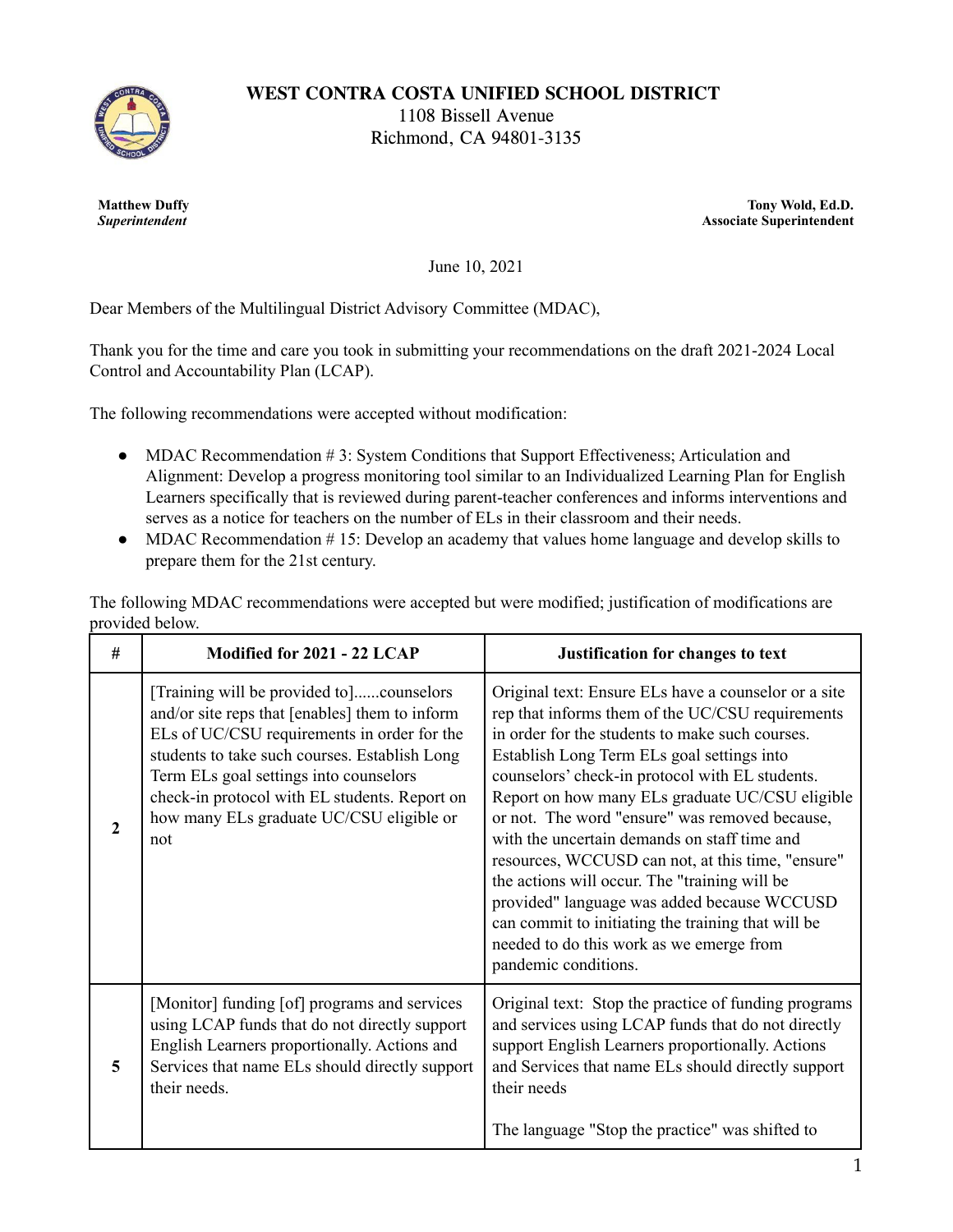

**WEST CONTRA COSTA UNIFIED SCHOOL DISTRICT**

1108 Bissell Avenue Richmond, CA 94801-3135

**Matthew Duffy** *Superintendent*

**Tony Wold, Ed.D. Associate Superintendent**

June 10, 2021

Dear Members of the Multilingual District Advisory Committee (MDAC),

Thank you for the time and care you took in submitting your recommendations on the draft 2021-2024 Local Control and Accountability Plan (LCAP).

The following recommendations were accepted without modification:

- MDAC Recommendation  $# 3$ : System Conditions that Support Effectiveness; Articulation and Alignment: Develop a progress monitoring tool similar to an Individualized Learning Plan for English Learners specifically that is reviewed during parent-teacher conferences and informs interventions and serves as a notice for teachers on the number of ELs in their classroom and their needs.
- MDAC Recommendation #15: Develop an academy that values home language and develop skills to prepare them for the 21st century.

The following MDAC recommendations were accepted but were modified; justification of modifications are provided below.

| #            | Modified for 2021 - 22 LCAP                                                                                                                                                                                                                                                                                                              | Justification for changes to text                                                                                                                                                                                                                                                                                                                                                                                                                                                                                                                                                                                                                                                                |
|--------------|------------------------------------------------------------------------------------------------------------------------------------------------------------------------------------------------------------------------------------------------------------------------------------------------------------------------------------------|--------------------------------------------------------------------------------------------------------------------------------------------------------------------------------------------------------------------------------------------------------------------------------------------------------------------------------------------------------------------------------------------------------------------------------------------------------------------------------------------------------------------------------------------------------------------------------------------------------------------------------------------------------------------------------------------------|
| $\mathbf{2}$ | [Training will be provided to]counselors<br>and/or site reps that [enables] them to inform<br>ELs of UC/CSU requirements in order for the<br>students to take such courses. Establish Long<br>Term ELs goal settings into counselors<br>check-in protocol with EL students. Report on<br>how many ELs graduate UC/CSU eligible or<br>not | Original text: Ensure ELs have a counselor or a site<br>rep that informs them of the UC/CSU requirements<br>in order for the students to make such courses.<br>Establish Long Term ELs goal settings into<br>counselors' check-in protocol with EL students.<br>Report on how many ELs graduate UC/CSU eligible<br>or not. The word "ensure" was removed because,<br>with the uncertain demands on staff time and<br>resources, WCCUSD can not, at this time, "ensure"<br>the actions will occur. The "training will be<br>provided" language was added because WCCUSD<br>can commit to initiating the training that will be<br>needed to do this work as we emerge from<br>pandemic conditions. |
| 5            | [Monitor] funding [of] programs and services<br>using LCAP funds that do not directly support<br>English Learners proportionally. Actions and<br>Services that name ELs should directly support<br>their needs.                                                                                                                          | Original text: Stop the practice of funding programs<br>and services using LCAP funds that do not directly<br>support English Learners proportionally. Actions<br>and Services that name ELs should directly support<br>their needs<br>The language "Stop the practice" was shifted to                                                                                                                                                                                                                                                                                                                                                                                                           |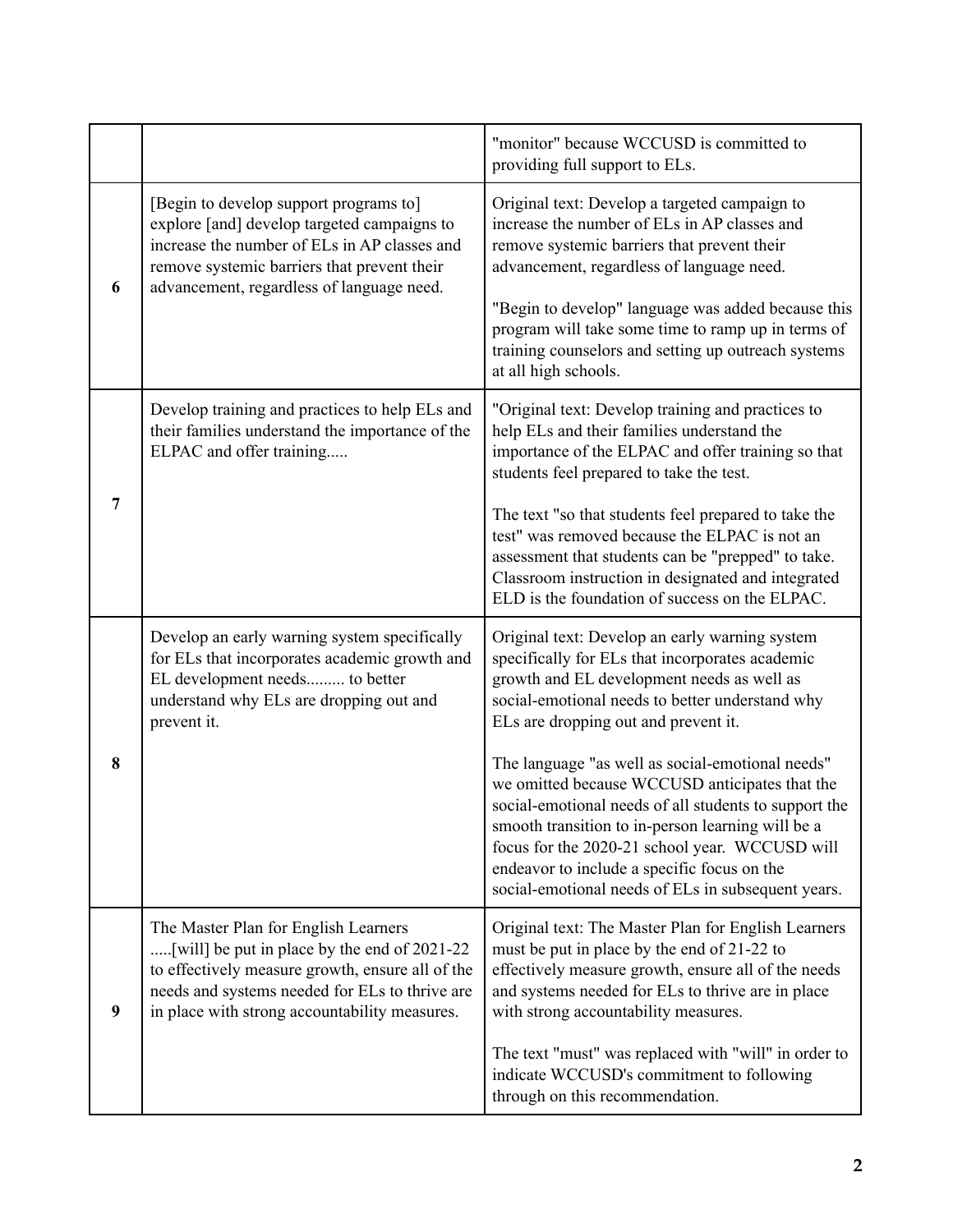|                |                                                                                                                                                                                                                                             | "monitor" because WCCUSD is committed to<br>providing full support to ELs.                                                                                                                                                                                                                                                                                                                                                                                                                                                                                                                                            |
|----------------|---------------------------------------------------------------------------------------------------------------------------------------------------------------------------------------------------------------------------------------------|-----------------------------------------------------------------------------------------------------------------------------------------------------------------------------------------------------------------------------------------------------------------------------------------------------------------------------------------------------------------------------------------------------------------------------------------------------------------------------------------------------------------------------------------------------------------------------------------------------------------------|
| 6              | [Begin to develop support programs to]<br>explore [and] develop targeted campaigns to<br>increase the number of ELs in AP classes and<br>remove systemic barriers that prevent their<br>advancement, regardless of language need.           | Original text: Develop a targeted campaign to<br>increase the number of ELs in AP classes and<br>remove systemic barriers that prevent their<br>advancement, regardless of language need.<br>"Begin to develop" language was added because this<br>program will take some time to ramp up in terms of<br>training counselors and setting up outreach systems<br>at all high schools.                                                                                                                                                                                                                                  |
| $\overline{7}$ | Develop training and practices to help ELs and<br>their families understand the importance of the<br>ELPAC and offer training                                                                                                               | "Original text: Develop training and practices to<br>help ELs and their families understand the<br>importance of the ELPAC and offer training so that<br>students feel prepared to take the test.<br>The text "so that students feel prepared to take the<br>test" was removed because the ELPAC is not an<br>assessment that students can be "prepped" to take.<br>Classroom instruction in designated and integrated<br>ELD is the foundation of success on the ELPAC.                                                                                                                                              |
| 8              | Develop an early warning system specifically<br>for ELs that incorporates academic growth and<br>EL development needs to better<br>understand why ELs are dropping out and<br>prevent it.                                                   | Original text: Develop an early warning system<br>specifically for ELs that incorporates academic<br>growth and EL development needs as well as<br>social-emotional needs to better understand why<br>ELs are dropping out and prevent it.<br>The language "as well as social-emotional needs"<br>we omitted because WCCUSD anticipates that the<br>social-emotional needs of all students to support the<br>smooth transition to in-person learning will be a<br>focus for the 2020-21 school year. WCCUSD will<br>endeavor to include a specific focus on the<br>social-emotional needs of ELs in subsequent years. |
| 9              | The Master Plan for English Learners<br>[will] be put in place by the end of 2021-22<br>to effectively measure growth, ensure all of the<br>needs and systems needed for ELs to thrive are<br>in place with strong accountability measures. | Original text: The Master Plan for English Learners<br>must be put in place by the end of 21-22 to<br>effectively measure growth, ensure all of the needs<br>and systems needed for ELs to thrive are in place<br>with strong accountability measures.<br>The text "must" was replaced with "will" in order to<br>indicate WCCUSD's commitment to following<br>through on this recommendation.                                                                                                                                                                                                                        |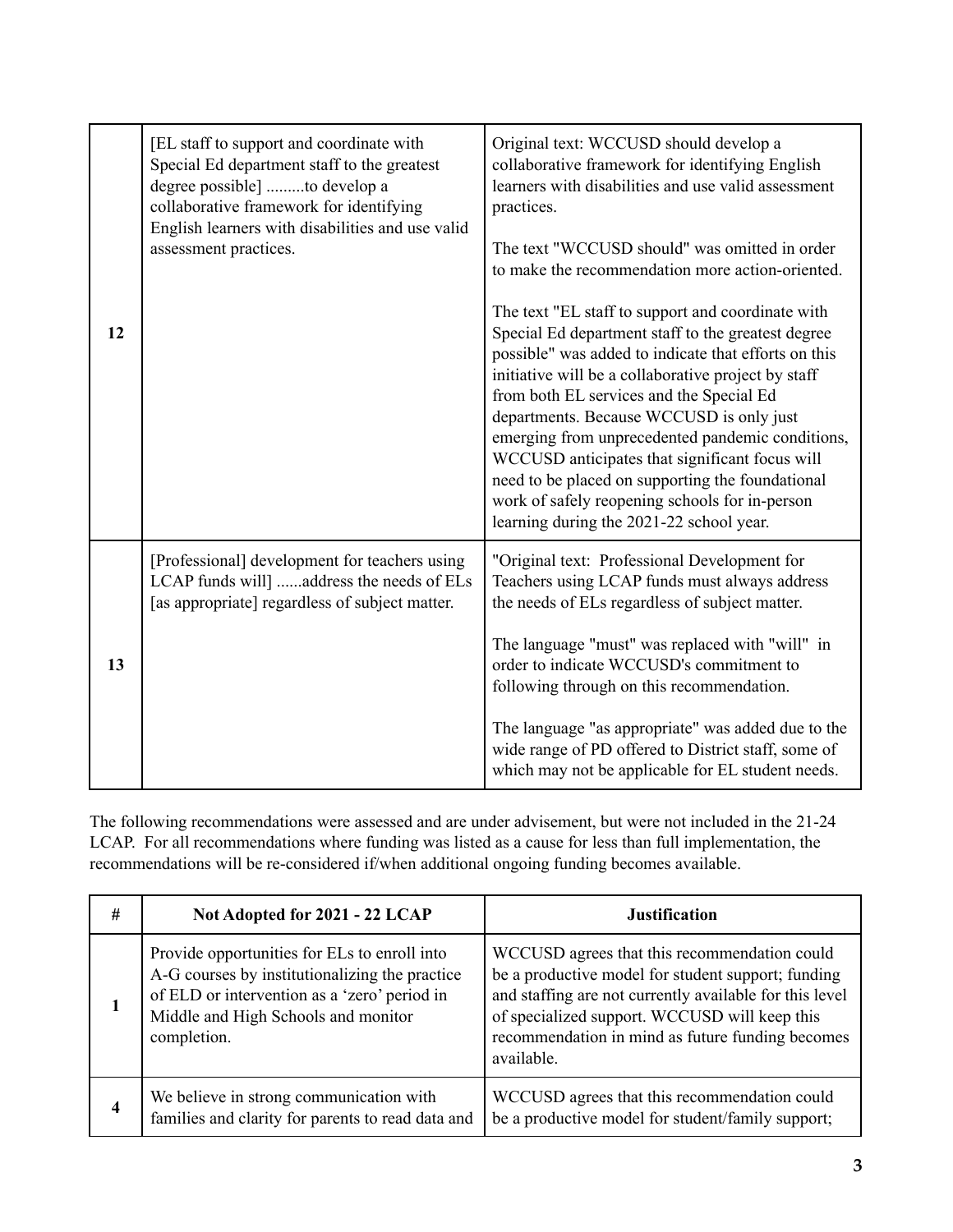| 12 | [EL staff to support and coordinate with<br>Special Ed department staff to the greatest<br>degree possible] to develop a<br>collaborative framework for identifying<br>English learners with disabilities and use valid<br>assessment practices. | Original text: WCCUSD should develop a<br>collaborative framework for identifying English<br>learners with disabilities and use valid assessment<br>practices.<br>The text "WCCUSD should" was omitted in order<br>to make the recommendation more action-oriented.<br>The text "EL staff to support and coordinate with<br>Special Ed department staff to the greatest degree<br>possible" was added to indicate that efforts on this<br>initiative will be a collaborative project by staff<br>from both EL services and the Special Ed<br>departments. Because WCCUSD is only just<br>emerging from unprecedented pandemic conditions,<br>WCCUSD anticipates that significant focus will<br>need to be placed on supporting the foundational<br>work of safely reopening schools for in-person<br>learning during the 2021-22 school year. |
|----|--------------------------------------------------------------------------------------------------------------------------------------------------------------------------------------------------------------------------------------------------|-----------------------------------------------------------------------------------------------------------------------------------------------------------------------------------------------------------------------------------------------------------------------------------------------------------------------------------------------------------------------------------------------------------------------------------------------------------------------------------------------------------------------------------------------------------------------------------------------------------------------------------------------------------------------------------------------------------------------------------------------------------------------------------------------------------------------------------------------|
| 13 | [Professional] development for teachers using<br>LCAP funds will] address the needs of ELs<br>[as appropriate] regardless of subject matter.                                                                                                     | "Original text: Professional Development for<br>Teachers using LCAP funds must always address<br>the needs of ELs regardless of subject matter.<br>The language "must" was replaced with "will" in<br>order to indicate WCCUSD's commitment to<br>following through on this recommendation.<br>The language "as appropriate" was added due to the<br>wide range of PD offered to District staff, some of<br>which may not be applicable for EL student needs.                                                                                                                                                                                                                                                                                                                                                                                 |

The following recommendations were assessed and are under advisement, but were not included in the 21-24 LCAP. For all recommendations where funding was listed as a cause for less than full implementation, the recommendations will be re-considered if/when additional ongoing funding becomes available.

| # | Not Adopted for 2021 - 22 LCAP                                                                                                                                                                       | <b>Justification</b>                                                                                                                                                                                                                                                             |
|---|------------------------------------------------------------------------------------------------------------------------------------------------------------------------------------------------------|----------------------------------------------------------------------------------------------------------------------------------------------------------------------------------------------------------------------------------------------------------------------------------|
|   | Provide opportunities for ELs to enroll into<br>A-G courses by institutionalizing the practice<br>of ELD or intervention as a 'zero' period in<br>Middle and High Schools and monitor<br>completion. | WCCUSD agrees that this recommendation could<br>be a productive model for student support; funding<br>and staffing are not currently available for this level<br>of specialized support. WCCUSD will keep this<br>recommendation in mind as future funding becomes<br>available. |
| 4 | We believe in strong communication with<br>families and clarity for parents to read data and                                                                                                         | WCCUSD agrees that this recommendation could<br>be a productive model for student/family support;                                                                                                                                                                                |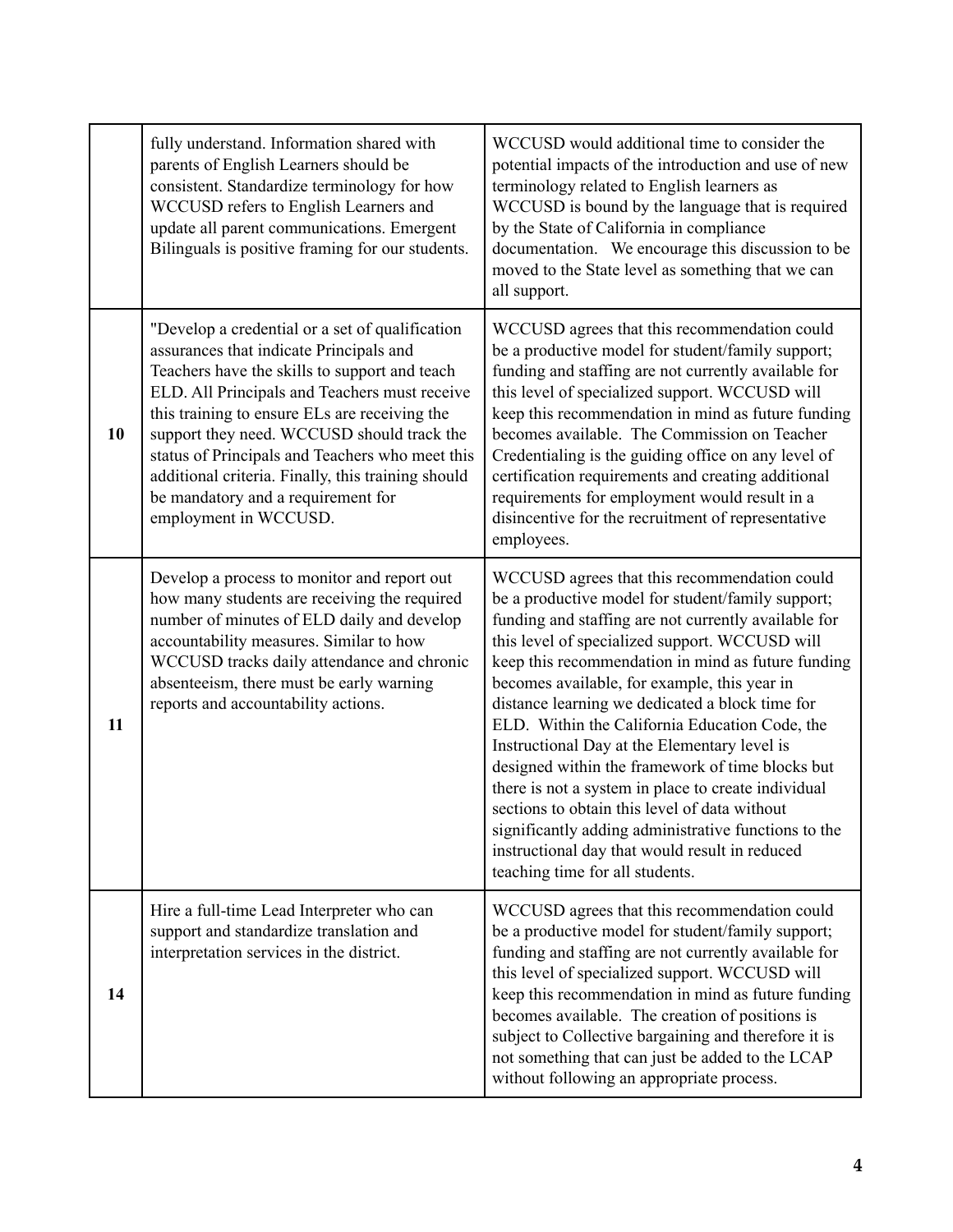|    | fully understand. Information shared with<br>parents of English Learners should be<br>consistent. Standardize terminology for how<br>WCCUSD refers to English Learners and<br>update all parent communications. Emergent<br>Bilinguals is positive framing for our students.                                                                                                                                                                                        | WCCUSD would additional time to consider the<br>potential impacts of the introduction and use of new<br>terminology related to English learners as<br>WCCUSD is bound by the language that is required<br>by the State of California in compliance<br>documentation. We encourage this discussion to be<br>moved to the State level as something that we can<br>all support.                                                                                                                                                                                                                                                                                                                                                                                                    |
|----|---------------------------------------------------------------------------------------------------------------------------------------------------------------------------------------------------------------------------------------------------------------------------------------------------------------------------------------------------------------------------------------------------------------------------------------------------------------------|---------------------------------------------------------------------------------------------------------------------------------------------------------------------------------------------------------------------------------------------------------------------------------------------------------------------------------------------------------------------------------------------------------------------------------------------------------------------------------------------------------------------------------------------------------------------------------------------------------------------------------------------------------------------------------------------------------------------------------------------------------------------------------|
| 10 | "Develop a credential or a set of qualification<br>assurances that indicate Principals and<br>Teachers have the skills to support and teach<br>ELD. All Principals and Teachers must receive<br>this training to ensure ELs are receiving the<br>support they need. WCCUSD should track the<br>status of Principals and Teachers who meet this<br>additional criteria. Finally, this training should<br>be mandatory and a requirement for<br>employment in WCCUSD. | WCCUSD agrees that this recommendation could<br>be a productive model for student/family support;<br>funding and staffing are not currently available for<br>this level of specialized support. WCCUSD will<br>keep this recommendation in mind as future funding<br>becomes available. The Commission on Teacher<br>Credentialing is the guiding office on any level of<br>certification requirements and creating additional<br>requirements for employment would result in a<br>disincentive for the recruitment of representative<br>employees.                                                                                                                                                                                                                             |
| 11 | Develop a process to monitor and report out<br>how many students are receiving the required<br>number of minutes of ELD daily and develop<br>accountability measures. Similar to how<br>WCCUSD tracks daily attendance and chronic<br>absenteeism, there must be early warning<br>reports and accountability actions.                                                                                                                                               | WCCUSD agrees that this recommendation could<br>be a productive model for student/family support;<br>funding and staffing are not currently available for<br>this level of specialized support. WCCUSD will<br>keep this recommendation in mind as future funding<br>becomes available, for example, this year in<br>distance learning we dedicated a block time for<br>ELD. Within the California Education Code, the<br>Instructional Day at the Elementary level is<br>designed within the framework of time blocks but<br>there is not a system in place to create individual<br>sections to obtain this level of data without<br>significantly adding administrative functions to the<br>instructional day that would result in reduced<br>teaching time for all students. |
| 14 | Hire a full-time Lead Interpreter who can<br>support and standardize translation and<br>interpretation services in the district.                                                                                                                                                                                                                                                                                                                                    | WCCUSD agrees that this recommendation could<br>be a productive model for student/family support;<br>funding and staffing are not currently available for<br>this level of specialized support. WCCUSD will<br>keep this recommendation in mind as future funding<br>becomes available. The creation of positions is<br>subject to Collective bargaining and therefore it is<br>not something that can just be added to the LCAP<br>without following an appropriate process.                                                                                                                                                                                                                                                                                                   |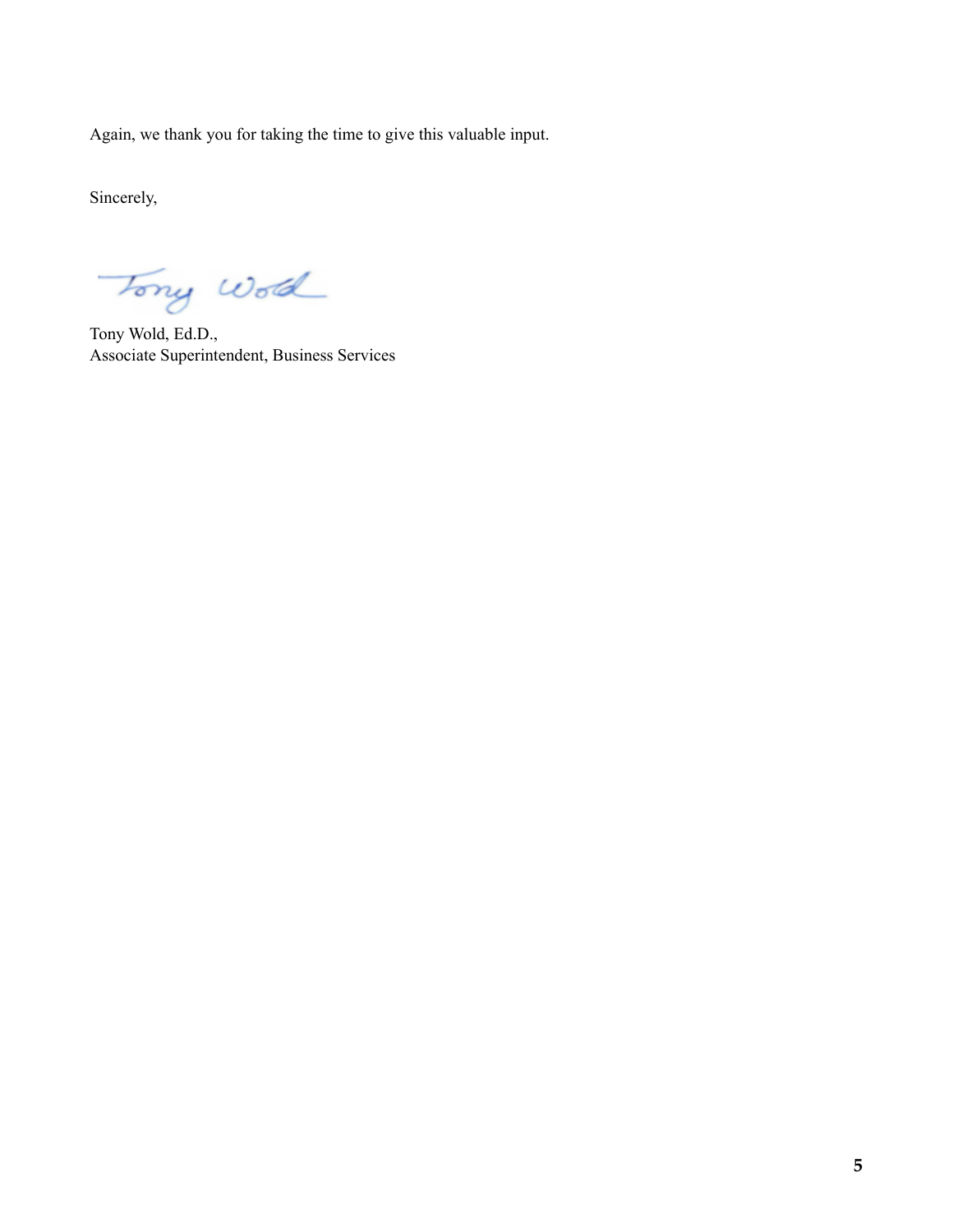Again, we thank you for taking the time to give this valuable input.

Sincerely,

Tony World

Tony Wold, Ed.D., Associate Superintendent, Business Services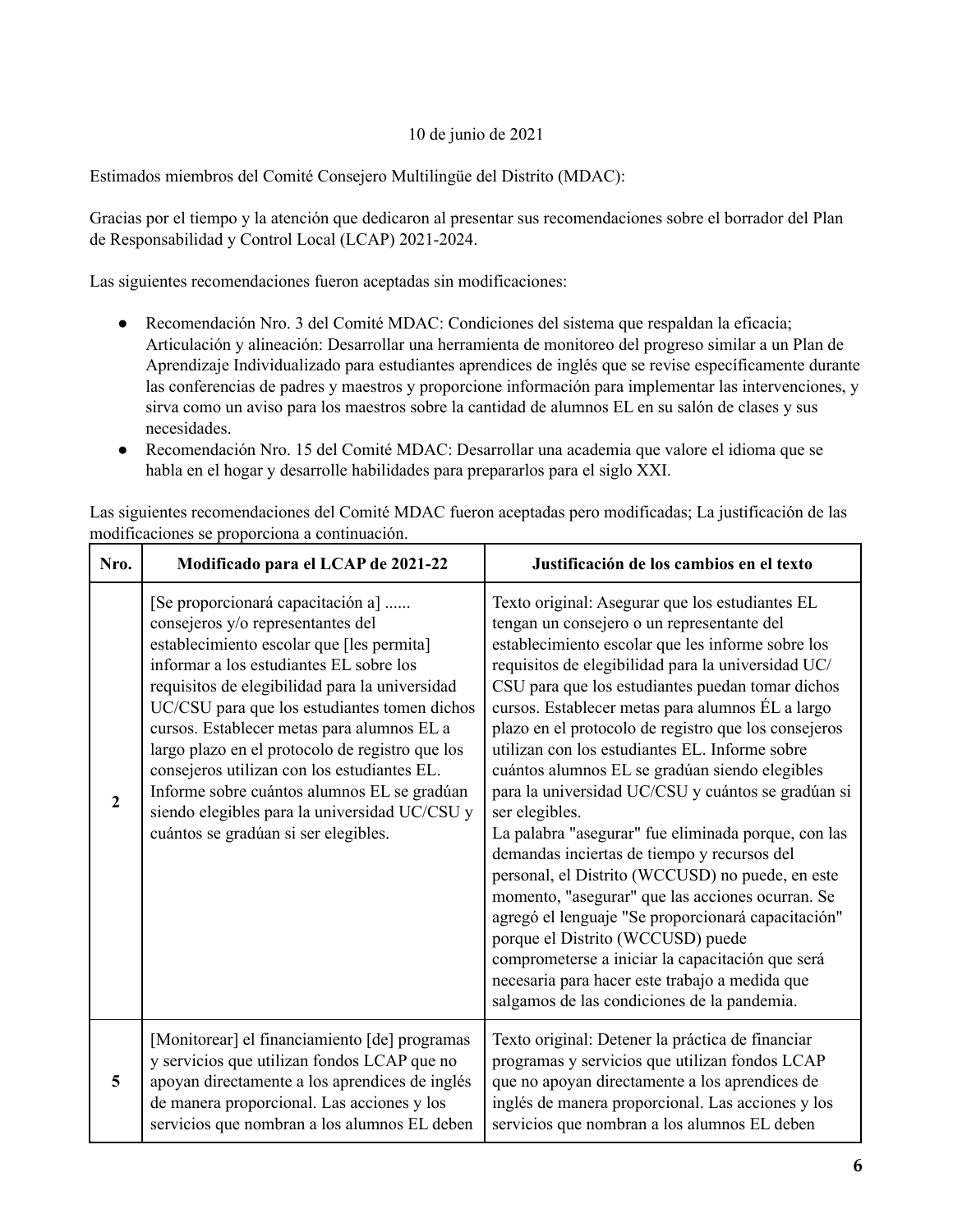## 10 de junio de 2021

Estimados miembros del Comité Consejero Multilingüe del Distrito (MDAC):

Gracias por el tiempo y la atención que dedicaron al presentar sus recomendaciones sobre el borrador del Plan de Responsabilidad y Control Local (LCAP) 2021-2024.

Las siguientes recomendaciones fueron aceptadas sin modificaciones:

- Recomendación Nro. 3 del Comité MDAC: Condiciones del sistema que respaldan la eficacia; Articulación y alineación: Desarrollar una herramienta de monitoreo del progreso similar a un Plan de Aprendizaje Individualizado para estudiantes aprendices de inglés que se revise específicamente durante las conferencias de padres y maestros y proporcione información para implementar las intervenciones, y sirva como un aviso para los maestros sobre la cantidad de alumnos EL en su salón de clases y sus necesidades.
- Recomendación Nro. 15 del Comité MDAC: Desarrollar una academia que valore el idioma que se habla en el hogar y desarrolle habilidades para prepararlos para el siglo XXI.

Las siguientes recomendaciones del Comité MDAC fueron aceptadas pero modificadas; La justificación de las modificaciones se proporciona a continuación.

| Nro.             | Modificado para el LCAP de 2021-22                                                                                                                                                                                                                                                                                                                                                                                                                                                                                                                       | Justificación de los cambios en el texto                                                                                                                                                                                                                                                                                                                                                                                                                                                                                                                                                                                                                                                                                                                                                                                                                                                                                                                                                                           |
|------------------|----------------------------------------------------------------------------------------------------------------------------------------------------------------------------------------------------------------------------------------------------------------------------------------------------------------------------------------------------------------------------------------------------------------------------------------------------------------------------------------------------------------------------------------------------------|--------------------------------------------------------------------------------------------------------------------------------------------------------------------------------------------------------------------------------------------------------------------------------------------------------------------------------------------------------------------------------------------------------------------------------------------------------------------------------------------------------------------------------------------------------------------------------------------------------------------------------------------------------------------------------------------------------------------------------------------------------------------------------------------------------------------------------------------------------------------------------------------------------------------------------------------------------------------------------------------------------------------|
| $\boldsymbol{2}$ | [Se proporcionará capacitación a]<br>consejeros y/o representantes del<br>establecimiento escolar que [les permita]<br>informar a los estudiantes EL sobre los<br>requisitos de elegibilidad para la universidad<br>UC/CSU para que los estudiantes tomen dichos<br>cursos. Establecer metas para alumnos EL a<br>largo plazo en el protocolo de registro que los<br>consejeros utilizan con los estudiantes EL.<br>Informe sobre cuántos alumnos EL se gradúan<br>siendo elegibles para la universidad UC/CSU y<br>cuántos se gradúan si ser elegibles. | Texto original: Asegurar que los estudiantes EL<br>tengan un consejero o un representante del<br>establecimiento escolar que les informe sobre los<br>requisitos de elegibilidad para la universidad UC/<br>CSU para que los estudiantes puedan tomar dichos<br>cursos. Establecer metas para alumnos ÉL a largo<br>plazo en el protocolo de registro que los consejeros<br>utilizan con los estudiantes EL. Informe sobre<br>cuántos alumnos EL se gradúan siendo elegibles<br>para la universidad UC/CSU y cuántos se gradúan si<br>ser elegibles.<br>La palabra "asegurar" fue eliminada porque, con las<br>demandas inciertas de tiempo y recursos del<br>personal, el Distrito (WCCUSD) no puede, en este<br>momento, "asegurar" que las acciones ocurran. Se<br>agregó el lenguaje "Se proporcionará capacitación"<br>porque el Distrito (WCCUSD) puede<br>comprometerse a iniciar la capacitación que será<br>necesaria para hacer este trabajo a medida que<br>salgamos de las condiciones de la pandemia. |
| 5                | [Monitorear] el financiamiento [de] programas<br>y servicios que utilizan fondos LCAP que no<br>apoyan directamente a los aprendices de inglés<br>de manera proporcional. Las acciones y los<br>servicios que nombran a los alumnos EL deben                                                                                                                                                                                                                                                                                                             | Texto original: Detener la práctica de financiar<br>programas y servicios que utilizan fondos LCAP<br>que no apoyan directamente a los aprendices de<br>inglés de manera proporcional. Las acciones y los<br>servicios que nombran a los alumnos EL deben                                                                                                                                                                                                                                                                                                                                                                                                                                                                                                                                                                                                                                                                                                                                                          |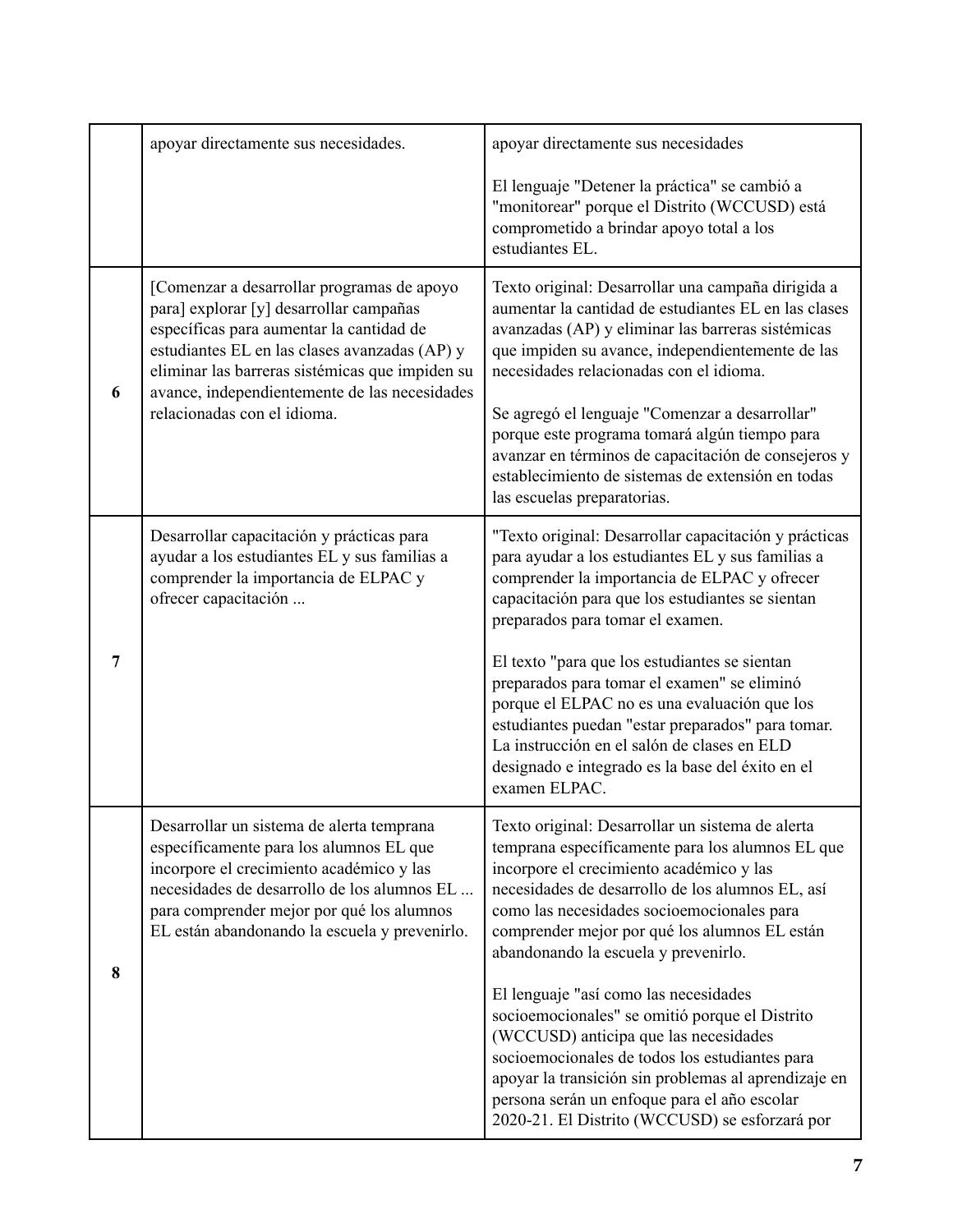|                | apoyar directamente sus necesidades.                                                                                                                                                                                                                                                                                  | apoyar directamente sus necesidades                                                                                                                                                                                                                                                                                                                                                                                                                                                                                                                                                                                                                                                         |
|----------------|-----------------------------------------------------------------------------------------------------------------------------------------------------------------------------------------------------------------------------------------------------------------------------------------------------------------------|---------------------------------------------------------------------------------------------------------------------------------------------------------------------------------------------------------------------------------------------------------------------------------------------------------------------------------------------------------------------------------------------------------------------------------------------------------------------------------------------------------------------------------------------------------------------------------------------------------------------------------------------------------------------------------------------|
|                |                                                                                                                                                                                                                                                                                                                       | El lenguaje "Detener la práctica" se cambió a<br>"monitorear" porque el Distrito (WCCUSD) está<br>comprometido a brindar apoyo total a los<br>estudiantes EL.                                                                                                                                                                                                                                                                                                                                                                                                                                                                                                                               |
| 6              | [Comenzar a desarrollar programas de apoyo<br>para] explorar [y] desarrollar campañas<br>específicas para aumentar la cantidad de<br>estudiantes EL en las clases avanzadas (AP) y<br>eliminar las barreras sistémicas que impiden su<br>avance, independientemente de las necesidades<br>relacionadas con el idioma. | Texto original: Desarrollar una campaña dirigida a<br>aumentar la cantidad de estudiantes EL en las clases<br>avanzadas (AP) y eliminar las barreras sistémicas<br>que impiden su avance, independientemente de las<br>necesidades relacionadas con el idioma.<br>Se agregó el lenguaje "Comenzar a desarrollar"<br>porque este programa tomará algún tiempo para<br>avanzar en términos de capacitación de consejeros y<br>establecimiento de sistemas de extensión en todas<br>las escuelas preparatorias.                                                                                                                                                                                |
| $\overline{7}$ | Desarrollar capacitación y prácticas para<br>ayudar a los estudiantes EL y sus familias a<br>comprender la importancia de ELPAC y<br>ofrecer capacitación                                                                                                                                                             | "Texto original: Desarrollar capacitación y prácticas<br>para ayudar a los estudiantes EL y sus familias a<br>comprender la importancia de ELPAC y ofrecer<br>capacitación para que los estudiantes se sientan<br>preparados para tomar el examen.<br>El texto "para que los estudiantes se sientan<br>preparados para tomar el examen" se eliminó<br>porque el ELPAC no es una evaluación que los<br>estudiantes puedan "estar preparados" para tomar.<br>La instrucción en el salón de clases en ELD<br>designado e integrado es la base del éxito en el<br>examen ELPAC.                                                                                                                 |
| 8              | Desarrollar un sistema de alerta temprana<br>específicamente para los alumnos EL que<br>incorpore el crecimiento académico y las<br>necesidades de desarrollo de los alumnos EL<br>para comprender mejor por qué los alumnos<br>EL están abandonando la escuela y prevenirlo.                                         | Texto original: Desarrollar un sistema de alerta<br>temprana específicamente para los alumnos EL que<br>incorpore el crecimiento académico y las<br>necesidades de desarrollo de los alumnos EL, así<br>como las necesidades socioemocionales para<br>comprender mejor por qué los alumnos EL están<br>abandonando la escuela y prevenirlo.<br>El lenguaje "así como las necesidades<br>socioemocionales" se omitió porque el Distrito<br>(WCCUSD) anticipa que las necesidades<br>socioemocionales de todos los estudiantes para<br>apoyar la transición sin problemas al aprendizaje en<br>persona serán un enfoque para el año escolar<br>2020-21. El Distrito (WCCUSD) se esforzará por |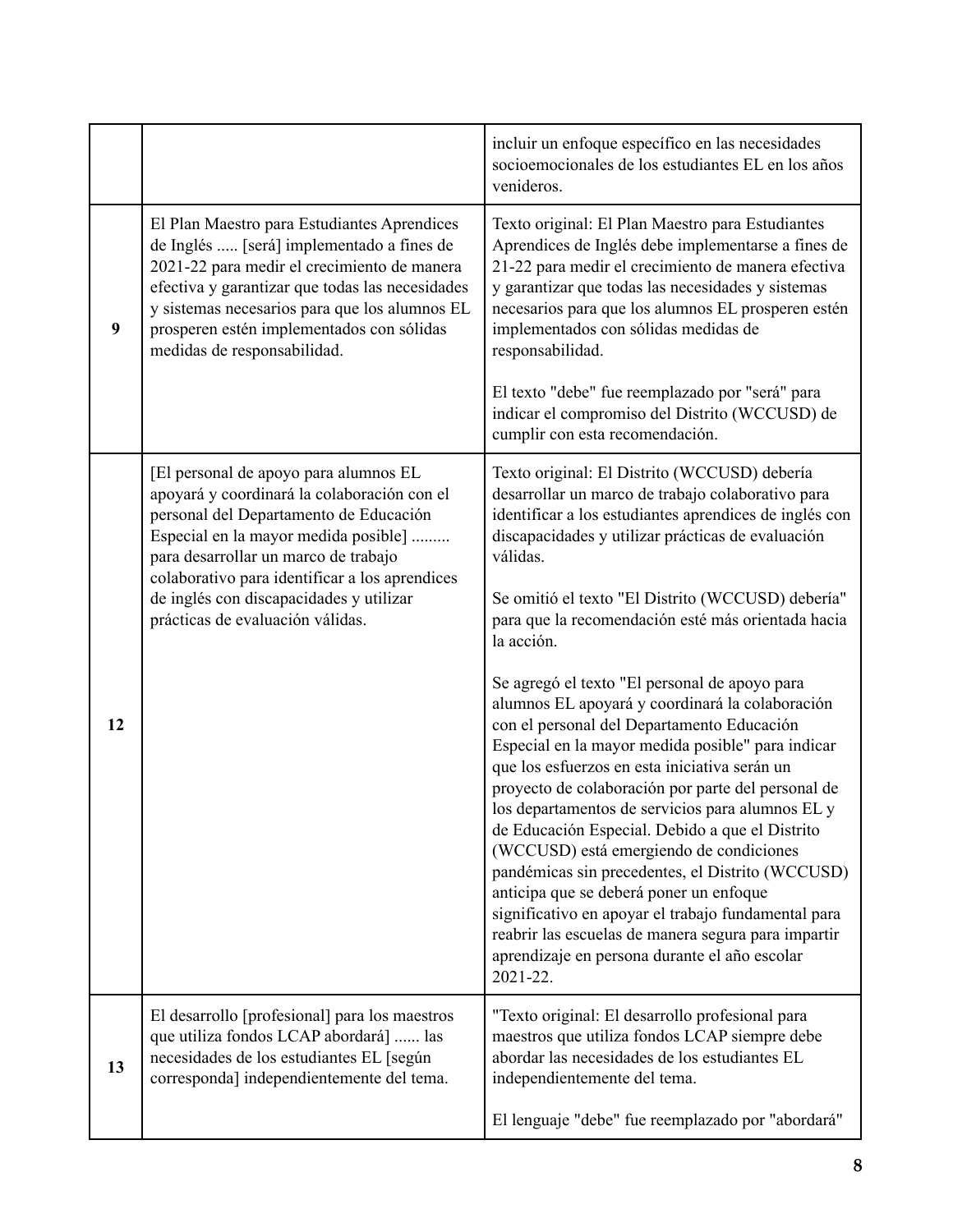|    |                                                                                                                                                                                                                                                                                                                         | incluir un enfoque específico en las necesidades<br>socioemocionales de los estudiantes EL en los años<br>venideros.                                                                                                                                                                                                                                                                                                                                                                                                                                                                                                                                                                                                                   |
|----|-------------------------------------------------------------------------------------------------------------------------------------------------------------------------------------------------------------------------------------------------------------------------------------------------------------------------|----------------------------------------------------------------------------------------------------------------------------------------------------------------------------------------------------------------------------------------------------------------------------------------------------------------------------------------------------------------------------------------------------------------------------------------------------------------------------------------------------------------------------------------------------------------------------------------------------------------------------------------------------------------------------------------------------------------------------------------|
| 9  | El Plan Maestro para Estudiantes Aprendices<br>de Inglés  [será] implementado a fines de<br>2021-22 para medir el crecimiento de manera<br>efectiva y garantizar que todas las necesidades<br>y sistemas necesarios para que los alumnos EL<br>prosperen estén implementados con sólidas<br>medidas de responsabilidad. | Texto original: El Plan Maestro para Estudiantes<br>Aprendices de Inglés debe implementarse a fines de<br>21-22 para medir el crecimiento de manera efectiva<br>y garantizar que todas las necesidades y sistemas<br>necesarios para que los alumnos EL prosperen estén<br>implementados con sólidas medidas de<br>responsabilidad.                                                                                                                                                                                                                                                                                                                                                                                                    |
|    |                                                                                                                                                                                                                                                                                                                         | El texto "debe" fue reemplazado por "será" para<br>indicar el compromiso del Distrito (WCCUSD) de<br>cumplir con esta recomendación.                                                                                                                                                                                                                                                                                                                                                                                                                                                                                                                                                                                                   |
|    | [El personal de apoyo para alumnos EL<br>apoyará y coordinará la colaboración con el<br>personal del Departamento de Educación<br>Especial en la mayor medida posible]<br>para desarrollar un marco de trabajo<br>colaborativo para identificar a los aprendices                                                        | Texto original: El Distrito (WCCUSD) debería<br>desarrollar un marco de trabajo colaborativo para<br>identificar a los estudiantes aprendices de inglés con<br>discapacidades y utilizar prácticas de evaluación<br>válidas.                                                                                                                                                                                                                                                                                                                                                                                                                                                                                                           |
|    | de inglés con discapacidades y utilizar<br>prácticas de evaluación válidas.                                                                                                                                                                                                                                             | Se omitió el texto "El Distrito (WCCUSD) debería"<br>para que la recomendación esté más orientada hacia<br>la acción.                                                                                                                                                                                                                                                                                                                                                                                                                                                                                                                                                                                                                  |
| 12 |                                                                                                                                                                                                                                                                                                                         | Se agregó el texto "El personal de apoyo para<br>alumnos EL apoyará y coordinará la colaboración<br>con el personal del Departamento Educación<br>Especial en la mayor medida posible" para indicar<br>que los esfuerzos en esta iniciativa serán un<br>proyecto de colaboración por parte del personal de<br>los departamentos de servicios para alumnos EL y<br>de Educación Especial. Debido a que el Distrito<br>(WCCUSD) está emergiendo de condiciones<br>pandémicas sin precedentes, el Distrito (WCCUSD)<br>anticipa que se deberá poner un enfoque<br>significativo en apoyar el trabajo fundamental para<br>reabrir las escuelas de manera segura para impartir<br>aprendizaje en persona durante el año escolar<br>2021-22. |
| 13 | El desarrollo [profesional] para los maestros<br>que utiliza fondos LCAP abordará]  las<br>necesidades de los estudiantes EL [según<br>corresponda] independientemente del tema.                                                                                                                                        | "Texto original: El desarrollo profesional para<br>maestros que utiliza fondos LCAP siempre debe<br>abordar las necesidades de los estudiantes EL<br>independientemente del tema.                                                                                                                                                                                                                                                                                                                                                                                                                                                                                                                                                      |
|    |                                                                                                                                                                                                                                                                                                                         | El lenguaje "debe" fue reemplazado por "abordará"                                                                                                                                                                                                                                                                                                                                                                                                                                                                                                                                                                                                                                                                                      |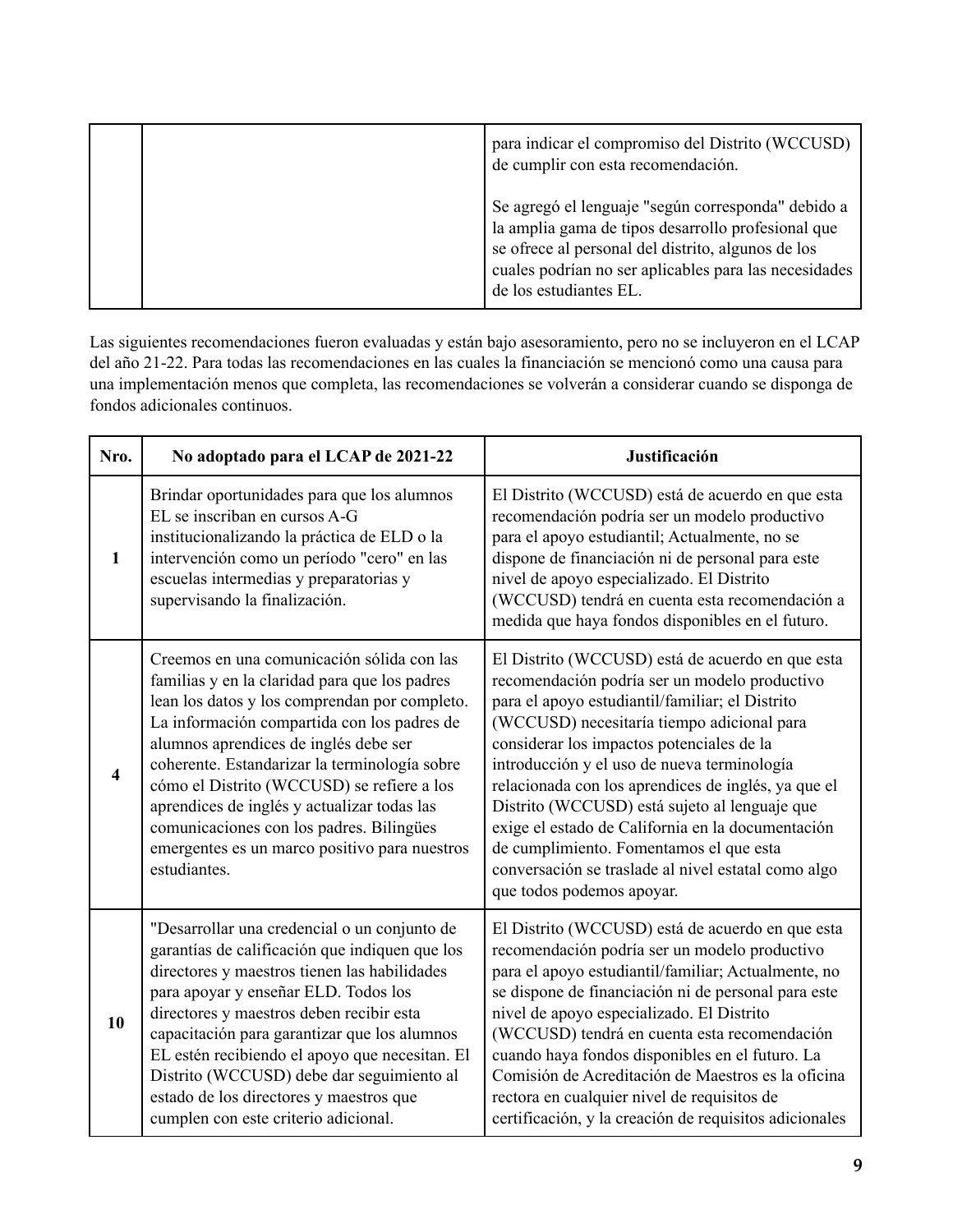|  | para indicar el compromiso del Distrito (WCCUSD)<br>de cumplir con esta recomendación.                                                                                                                                                            |
|--|---------------------------------------------------------------------------------------------------------------------------------------------------------------------------------------------------------------------------------------------------|
|  | Se agregó el lenguaje "según corresponda" debido a<br>la amplia gama de tipos desarrollo profesional que<br>se ofrece al personal del distrito, algunos de los<br>cuales podrían no ser aplicables para las necesidades<br>de los estudiantes EL. |

Las siguientes recomendaciones fueron evaluadas y están bajo asesoramiento, pero no se incluyeron en el LCAP del año 21-22. Para todas las recomendaciones en las cuales la financiación se mencionó como una causa para una implementación menos que completa, las recomendaciones se volverán a considerar cuando se disponga de fondos adicionales continuos.

| Nro.                    | No adoptado para el LCAP de 2021-22                                                                                                                                                                                                                                                                                                                                                                                                                                                             | Justificación                                                                                                                                                                                                                                                                                                                                                                                                                                                                                                                                                                              |
|-------------------------|-------------------------------------------------------------------------------------------------------------------------------------------------------------------------------------------------------------------------------------------------------------------------------------------------------------------------------------------------------------------------------------------------------------------------------------------------------------------------------------------------|--------------------------------------------------------------------------------------------------------------------------------------------------------------------------------------------------------------------------------------------------------------------------------------------------------------------------------------------------------------------------------------------------------------------------------------------------------------------------------------------------------------------------------------------------------------------------------------------|
| $\mathbf{1}$            | Brindar oportunidades para que los alumnos<br>EL se inscriban en cursos A-G<br>institucionalizando la práctica de ELD o la<br>intervención como un período "cero" en las<br>escuelas intermedias y preparatorias y<br>supervisando la finalización.                                                                                                                                                                                                                                             | El Distrito (WCCUSD) está de acuerdo en que esta<br>recomendación podría ser un modelo productivo<br>para el apoyo estudiantil; Actualmente, no se<br>dispone de financiación ni de personal para este<br>nivel de apoyo especializado. El Distrito<br>(WCCUSD) tendrá en cuenta esta recomendación a<br>medida que haya fondos disponibles en el futuro.                                                                                                                                                                                                                                  |
| $\overline{\mathbf{4}}$ | Creemos en una comunicación sólida con las<br>familias y en la claridad para que los padres<br>lean los datos y los comprendan por completo.<br>La información compartida con los padres de<br>alumnos aprendices de inglés debe ser<br>coherente. Estandarizar la terminología sobre<br>cómo el Distrito (WCCUSD) se refiere a los<br>aprendices de inglés y actualizar todas las<br>comunicaciones con los padres. Bilingües<br>emergentes es un marco positivo para nuestros<br>estudiantes. | El Distrito (WCCUSD) está de acuerdo en que esta<br>recomendación podría ser un modelo productivo<br>para el apoyo estudiantil/familiar; el Distrito<br>(WCCUSD) necesitaría tiempo adicional para<br>considerar los impactos potenciales de la<br>introducción y el uso de nueva terminología<br>relacionada con los aprendices de inglés, ya que el<br>Distrito (WCCUSD) está sujeto al lenguaje que<br>exige el estado de California en la documentación<br>de cumplimiento. Fomentamos el que esta<br>conversación se traslade al nivel estatal como algo<br>que todos podemos apoyar. |
| 10                      | "Desarrollar una credencial o un conjunto de<br>garantías de calificación que indiquen que los<br>directores y maestros tienen las habilidades<br>para apoyar y enseñar ELD. Todos los<br>directores y maestros deben recibir esta<br>capacitación para garantizar que los alumnos<br>EL estén recibiendo el apoyo que necesitan. El<br>Distrito (WCCUSD) debe dar seguimiento al<br>estado de los directores y maestros que<br>cumplen con este criterio adicional.                            | El Distrito (WCCUSD) está de acuerdo en que esta<br>recomendación podría ser un modelo productivo<br>para el apoyo estudiantil/familiar; Actualmente, no<br>se dispone de financiación ni de personal para este<br>nivel de apoyo especializado. El Distrito<br>(WCCUSD) tendrá en cuenta esta recomendación<br>cuando haya fondos disponibles en el futuro. La<br>Comisión de Acreditación de Maestros es la oficina<br>rectora en cualquier nivel de requisitos de<br>certificación, y la creación de requisitos adicionales                                                             |